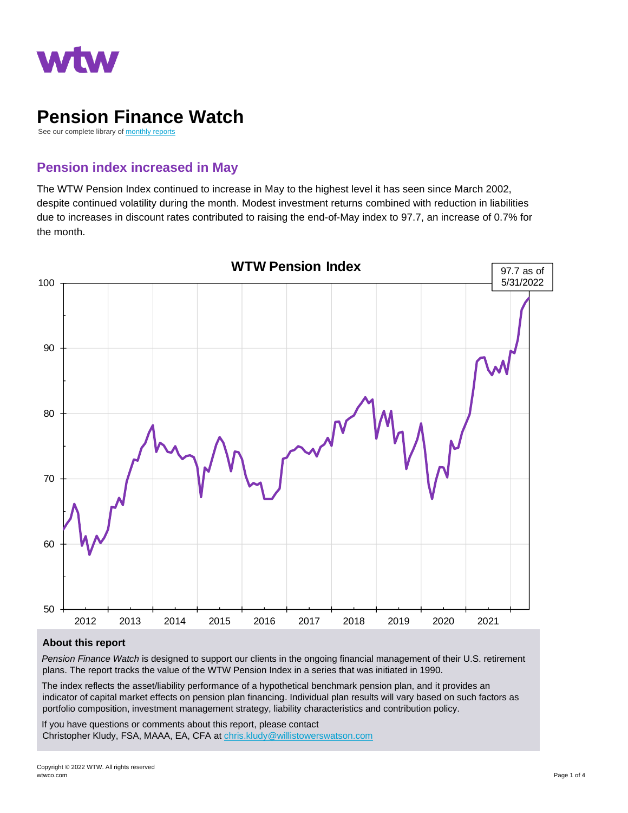

# **Pension Finance Watch**

See our complete library of [monthly reports](https://www.wtwco.com/en-US/Insights/all-insights#sort=%40fdate13762%20descending&f:@publication=[U.S.%20Pension%20Finance%20Watch])

# **Pension index increased in May**

The WTW Pension Index continued to increase in May to the highest level it has seen since March 2002, despite continued volatility during the month. Modest investment returns combined with reduction in liabilities due to increases in discount rates contributed to raising the end-of-May index to 97.7, an increase of 0.7% for the month.



#### **About this report**

*Pension Finance Watch* is designed to support our clients in the ongoing financial management of their U.S. retirement plans. The report tracks the value of the WTW Pension Index in a series that was initiated in 1990.

The index reflects the asset/liability performance of a hypothetical benchmark pension plan, and it provides an indicator of capital market effects on pension plan financing. Individual plan results will vary based on such factors as portfolio composition, investment management strategy, liability characteristics and contribution policy.

If you have questions or comments about this report, please contact Christopher Kludy, FSA, MAAA, EA, CFA a[t chris.kludy@willistowerswatson.com](mailto:chris.kludy@willistowerswatson.com)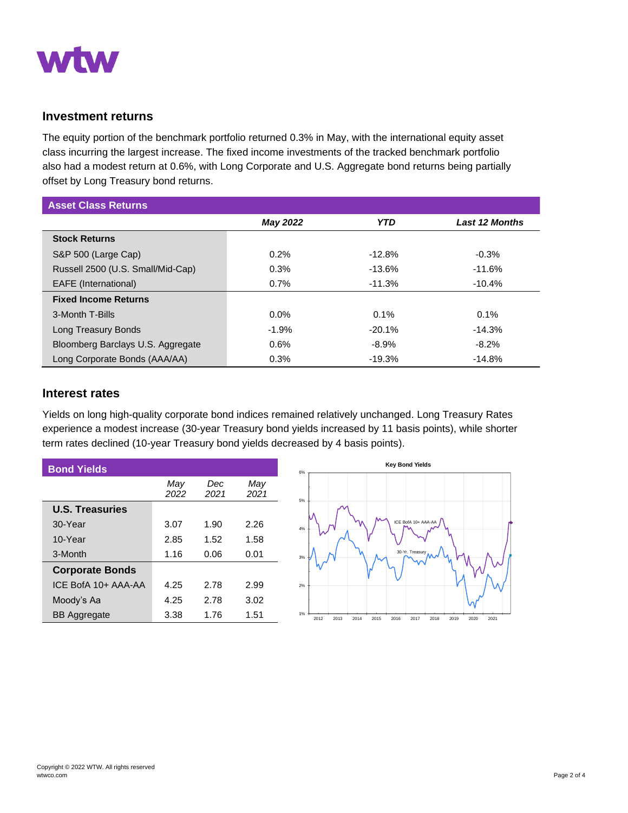

## **Investment returns**

The equity portion of the benchmark portfolio returned 0.3% in May, with the international equity asset class incurring the largest increase. The fixed income investments of the tracked benchmark portfolio also had a modest return at 0.6%, with Long Corporate and U.S. Aggregate bond returns being partially offset by Long Treasury bond returns.

| <b>Asset Class Returns</b>        |                 |            |                       |  |  |  |
|-----------------------------------|-----------------|------------|-----------------------|--|--|--|
|                                   | <b>May 2022</b> | <b>YTD</b> | <b>Last 12 Months</b> |  |  |  |
| <b>Stock Returns</b>              |                 |            |                       |  |  |  |
| S&P 500 (Large Cap)               | 0.2%            | $-12.8%$   | $-0.3%$               |  |  |  |
| Russell 2500 (U.S. Small/Mid-Cap) | 0.3%            | $-13.6%$   | $-11.6%$              |  |  |  |
| <b>EAFE</b> (International)       | 0.7%            | $-11.3%$   | $-10.4%$              |  |  |  |
| <b>Fixed Income Returns</b>       |                 |            |                       |  |  |  |
| 3-Month T-Bills                   | $0.0\%$         | 0.1%       | 0.1%                  |  |  |  |
| Long Treasury Bonds               | $-1.9%$         | $-20.1%$   | $-14.3%$              |  |  |  |
| Bloomberg Barclays U.S. Aggregate | 0.6%            | $-8.9%$    | $-8.2%$               |  |  |  |
| Long Corporate Bonds (AAA/AA)     | 0.3%            | $-19.3%$   | $-14.8%$              |  |  |  |

### **Interest rates**

Yields on long high-quality corporate bond indices remained relatively unchanged. Long Treasury Rates experience a modest increase (30-year Treasury bond yields increased by 11 basis points), while shorter term rates declined (10-year Treasury bond yields decreased by 4 basis points).

| <b>Bond Yields</b>     |             |             |             | 6% |
|------------------------|-------------|-------------|-------------|----|
|                        | May<br>2022 | Dec<br>2021 | May<br>2021 | 5% |
| <b>U.S. Treasuries</b> |             |             |             |    |
| 30-Year                | 3.07        | 1.90        | 2.26        | 4% |
| 10-Year                | 2.85        | 1.52        | 1.58        |    |
| 3-Month                | 1.16        | 0.06        | 0.01        | 3% |
| <b>Corporate Bonds</b> |             |             |             |    |
| ICE BofA 10+ AAA-AA    | 4.25        | 2.78        | 2.99        | 2% |
| Moody's Aa             | 4.25        | 2.78        | 3.02        |    |
| <b>BB</b> Aggregate    | 3.38        | 1.76        | 1.51        | 1% |

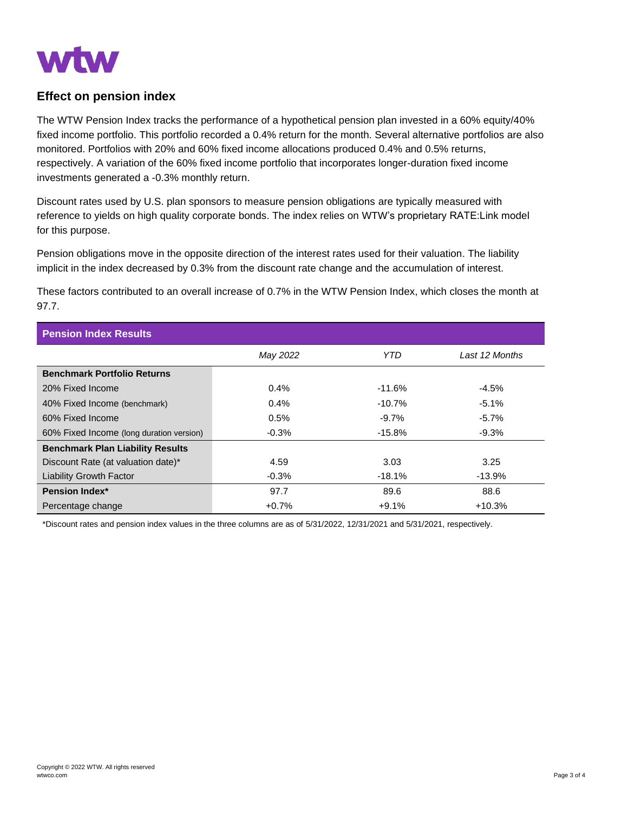

## **Effect on pension index**

The WTW Pension Index tracks the performance of a hypothetical pension plan invested in a 60% equity/40% fixed income portfolio. This portfolio recorded a 0.4% return for the month. Several alternative portfolios are also monitored. Portfolios with 20% and 60% fixed income allocations produced 0.4% and 0.5% returns, respectively. A variation of the 60% fixed income portfolio that incorporates longer-duration fixed income investments generated a -0.3% monthly return.

Discount rates used by U.S. plan sponsors to measure pension obligations are typically measured with reference to yields on high quality corporate bonds. The index relies on WTW's proprietary RATE:Link model for this purpose.

Pension obligations move in the opposite direction of the interest rates used for their valuation. The liability implicit in the index decreased by 0.3% from the discount rate change and the accumulation of interest.

These factors contributed to an overall increase of 0.7% in the WTW Pension Index, which closes the month at 97.7.

| <b>Pension Index Results</b>             |          |           |                |  |  |  |
|------------------------------------------|----------|-----------|----------------|--|--|--|
|                                          | May 2022 | YTD       | Last 12 Months |  |  |  |
| <b>Benchmark Portfolio Returns</b>       |          |           |                |  |  |  |
| 20% Fixed Income                         | $0.4\%$  | $-11.6%$  | $-4.5%$        |  |  |  |
| 40% Fixed Income (benchmark)             | $0.4\%$  | $-10.7%$  | $-5.1%$        |  |  |  |
| 60% Fixed Income                         | 0.5%     | $-9.7\%$  | $-5.7\%$       |  |  |  |
| 60% Fixed Income (long duration version) | $-0.3\%$ | $-15.8\%$ | $-9.3\%$       |  |  |  |
| <b>Benchmark Plan Liability Results</b>  |          |           |                |  |  |  |
| Discount Rate (at valuation date)*       | 4.59     | 3.03      | 3.25           |  |  |  |
| <b>Liability Growth Factor</b>           | $-0.3%$  | $-18.1%$  | $-13.9%$       |  |  |  |
| <b>Pension Index*</b>                    | 97.7     | 89.6      | 88.6           |  |  |  |
| Percentage change                        | $+0.7%$  | $+9.1%$   | $+10.3%$       |  |  |  |

\*Discount rates and pension index values in the three columns are as of 5/31/2022, 12/31/2021 and 5/31/2021, respectively.